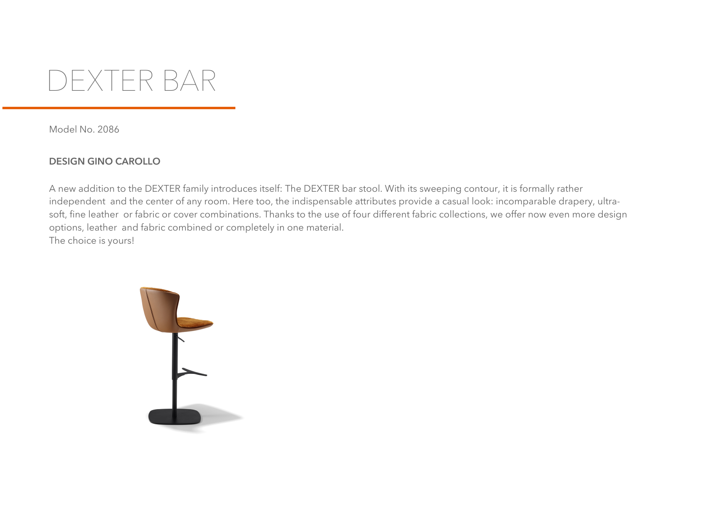

Model No. 2086

## **DESIGN GINO CAROLLO**

A new addition to the DEXTER family introduces itself: The DEXTER bar stool. With its sweeping contour, it is formally rather independent and the center of any room. Here too, the indispensable attributes provide a casual look: incomparable drapery, ultrasoft, fine leather or fabric or cover combinations. Thanks to the use of four different fabric collections, we offer now even more design options, leather and fabric combined or completely in one material. The choice is yours!